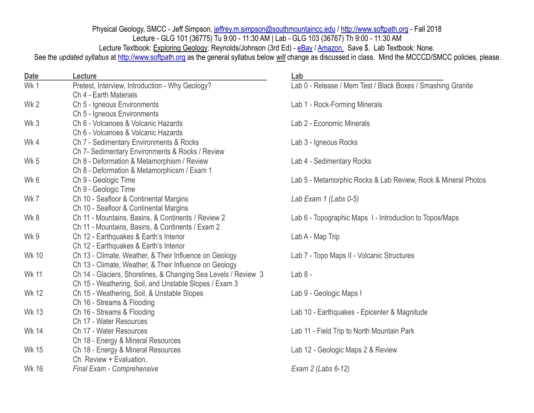Physical Geology, SMCC - Jeff Simpson, [jeffrey.m.simpson@southmountaincc.edu](mailto:jeffrey.m.simpson@paradisevalley.edu) / <http://www.softpath.org>- Fall 2018 Lecture - GLG 101 (36775) Tu 9:00 - 11:30 AM | Lab - GLG 103 (36767) Th 9:00 - 11:30 AM Lecture Textbook: Exploring Geology: Reynolds/Johnson (3rd Ed) - [eBay](https://www.ebay.com/sch/i.html?_from=R40&_trksid=p2322090.m570.l1313.TR0.TRC0.H0.XExploring+Geology+Reynolds+3rd.TRS0&_nkw=Exploring+Geology+Reynolds+3rd&_sacat=0) / [Amazon.](https://www.amazon.com/gp/offer-listing/0073524123/ref=dp_olp_used?ie=UTF8&condition=used) Save \$. Lab Textbook: None. See the *updated syllabus* at <http://www.softpath.org> as the general syllabus below *will* change as discussed in class. Mind the MCCCD/SMCC policies, please.

| <b>Date</b>  | Lecture                                                        | Lab                                                           |
|--------------|----------------------------------------------------------------|---------------------------------------------------------------|
| Wk1          | Pretest, Interview, Introduction - Why Geology?                | Lab 0 - Release / Mem Test / Black Boxes / Smashing Granite   |
|              | Ch 4 - Earth Materials                                         |                                                               |
| Wk 2         | Ch 5 - Igneous Environments                                    | Lab 1 - Rock-Forming Minerals                                 |
|              | Ch 5 - Igneous Environments                                    |                                                               |
| Wk 3         | Ch 6 - Volcanoes & Volcanic Hazards                            | Lab 2 - Economic Minerals                                     |
|              | Ch 6 - Volcanoes & Volcanic Hazards                            |                                                               |
| Wk4          | Ch 7 - Sedimentary Environments & Rocks                        | Lab 3 - Igneous Rocks                                         |
|              | Ch 7- Sedimentary Environments & Rocks / Review                |                                                               |
| Wk 5         | Ch 8 - Deformation & Metamorphism / Review                     | Lab 4 - Sedimentary Rocks                                     |
|              | Ch 8 - Deformation & Metamorphicsm / Exam 1                    |                                                               |
| Wk 6         | Ch 9 - Geologic Time                                           | Lab 5 - Metamorphic Rocks & Lab Review, Rock & Mineral Photos |
|              | Ch 9 - Geologic Time                                           |                                                               |
| Wk 7         | Ch 10 - Seafloor & Continental Margins                         | Lab Exam $1$ (Labs 0-5)                                       |
|              | Ch 10 - Seafloor & Continental Margins                         |                                                               |
| Wk 8         | Ch 11 - Mountains, Basins, & Continents / Review 2             | Lab 6 - Topographic Maps 1 - Introduction to Topos/Maps       |
|              | Ch 11 - Mountains, Basins, & Continents / Exam 2               |                                                               |
| Wk 9         | Ch 12 - Earthquakes & Earth's Interior                         | Lab A - Map Trip                                              |
|              | Ch 12 - Earthquakes & Earth's Interior                         |                                                               |
| <b>Wk 10</b> | Ch 13 - Climate, Weather, & Their Influence on Geology         | Lab 7 - Topo Maps II - Volcanic Structures                    |
|              | Ch 13 - Climate, Weather, & Their Influence on Geology         |                                                               |
| <b>Wk 11</b> | Ch 14 - Glaciers, Shorelines, & Changing Sea Levels / Review 3 | $Lab 8 -$                                                     |
|              | Ch 15 - Weathering, Soil, and Unstable Slopes / Exam 3         |                                                               |
| <b>Wk 12</b> | Ch 15 - Weathering, Soil, & Unstable Slopes                    | Lab 9 - Geologic Maps I                                       |
|              | Ch 16 - Streams & Flooding                                     |                                                               |
| <b>Wk 13</b> | Ch 16 - Streams & Flooding                                     | Lab 10 - Earthquakes - Epicenter & Magnitude                  |
|              | Ch 17 - Water Resources                                        |                                                               |
| Wk 14        | Ch 17 - Water Resources                                        | Lab 11 - Field Trip to North Mountain Park                    |
|              | Ch 18 - Energy & Mineral Resources                             |                                                               |
| <b>Wk 15</b> | Ch 18 - Energy & Mineral Resources                             | Lab 12 - Geologic Maps 2 & Review                             |
|              | Ch Review + Evaluation,                                        |                                                               |
| <b>Wk 16</b> | Final Exam - Comprehensive                                     | Exam 2 (Labs 6-12)                                            |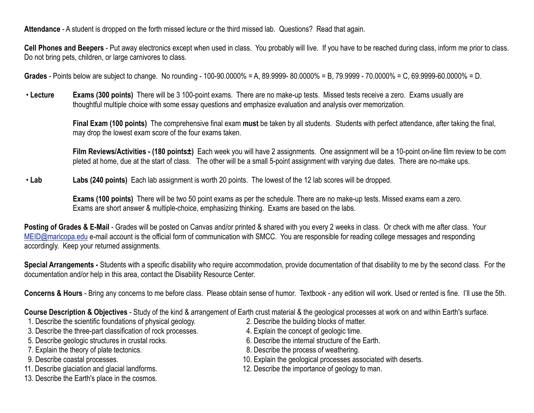**Attendance** - A student is dropped on the forth missed lecture or the third missed lab. Questions? Read that again.

**Cell Phones and Beepers** - Put away electronics except when used in class. You probably will live. If you have to be reached during class, inform me prior to class. Do not bring pets, children, or large carnivores to class.

**Grades** - Points below are subject to change. No rounding - 100-90.0000% = A, 89.9999- 80.0000% = B, 79.9999 - 70.0000% = C, 69.9999-60.0000% = D.

 • **Lecture Exams (300 points)** There will be 3 100-point exams. There are no make-up tests. Missed tests receive a zero. Exams usually are thoughtful multiple choice with some essay questions and emphasize evaluation and analysis over memorization.

> **Final Exam (100 points)** The comprehensive final exam **must** be taken by all students. Students with perfect attendance, after taking the final, may drop the lowest exam score of the four exams taken.

**Film Reviews/Activities - (180 points±)** Each week you will have 2 assignments. One assignment will be a 10-point on-line film review to be com pleted at home, due at the start of class. The other will be a small 5-point assignment with varying due dates. There are no-make ups.

• **Lab Labs (240 points)** Each lab assignment is worth 20 points. The lowest of the 12 lab scores will be dropped.

 **Exams (100 points)** There will be two 50 point exams as per the schedule. There are no make-up tests. Missed exams earn a zero. Exams are short answer & multiple-choice, emphasizing thinking. Exams are based on the labs.

**Posting of Grades & E-Mail** - Grades will be posted on Canvas and/or printed & shared with you every 2 weeks in class. Or check with me after class. Your [MEID@maricopa.edu](mailto:MEID@maricopa.edu) e-mail account is the official form of communication with SMCC. You are responsible for reading college messages and responding accordingly. Keep your returned assignments.

**Special Arrangements -** Students with a specific disability who require accommodation, provide documentation of that disability to me by the second class. For the documentation and/or help in this area, contact the Disability Resource Center.

**Concerns & Hours** - Bring any concerns to me before class. Please obtain sense of humor. Textbook - any edition will work. Used or rented is fine. I'll use the 5th.

**Course Description & Objectives** - Study of the kind & arrangement of Earth crust material & the geological processes at work on and within Earth's surface.

- 1. Describe the scientific foundations of physical geology. 2. Describe the building blocks of matter.
- 3. Describe the three-part classification of rock processes. 4. Explain the concept of geologic time.
- 
- 7. Explain the theory of plate tectonics. 8. Describe the process of weathering.
- 
- 
- 13. Describe the Earth's place in the cosmos.
- 
- 
- 5. Describe geologic structures in crustal rocks. 6. Describe the internal structure of the Earth.
	-
- 9. Describe coastal processes. 10. Explain the geological processes associated with deserts.
- 11. Describe glaciation and glacial landforms. 12. Describe the importance of geology to man.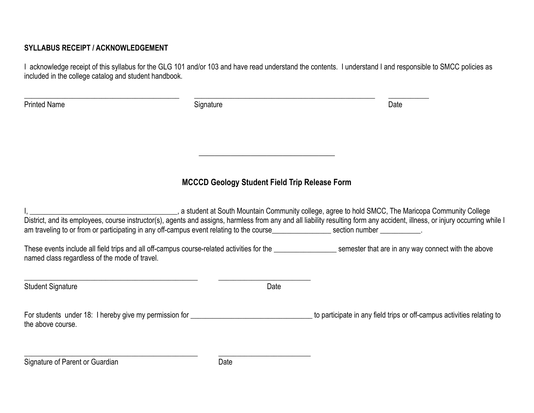## **SYLLABUS RECEIPT / ACKNOWLEDGEMENT**

I acknowledge receipt of this syllabus for the GLG 101 and/or 103 and have read understand the contents. I understand I and responsible to SMCC policies as included in the college catalog and student handbook.

| <b>Printed Name</b>                                                                                                                 | Signature                                            | Date                                                                                                                                                                                                                                                                                                                        |
|-------------------------------------------------------------------------------------------------------------------------------------|------------------------------------------------------|-----------------------------------------------------------------------------------------------------------------------------------------------------------------------------------------------------------------------------------------------------------------------------------------------------------------------------|
|                                                                                                                                     |                                                      |                                                                                                                                                                                                                                                                                                                             |
|                                                                                                                                     | <b>MCCCD Geology Student Field Trip Release Form</b> |                                                                                                                                                                                                                                                                                                                             |
| am traveling to or from or participating in any off-campus event relating to the course_________________section number ___________. |                                                      | a student at South Mountain Community college, agree to hold SMCC, The Maricopa Community College, and SMCC, The Maricopa Community College<br>District, and its employees, course instructor(s), agents and assigns, harmless from any and all liability resulting form any accident, illness, or injury occurring while I |
| named class regardless of the mode of travel.                                                                                       |                                                      | These events include all field trips and all off-campus course-related activities for the _________________________semester that are in any way connect with the above                                                                                                                                                      |
| <b>Student Signature</b>                                                                                                            | Date                                                 |                                                                                                                                                                                                                                                                                                                             |
| For students under 18: I hereby give my permission for <b>Commission</b> for <b>COMECO SET ASSESS</b><br>the above course.          |                                                      | to participate in any field trips or off-campus activities relating to                                                                                                                                                                                                                                                      |
| Signature of Parent or Guardian                                                                                                     | Date                                                 |                                                                                                                                                                                                                                                                                                                             |